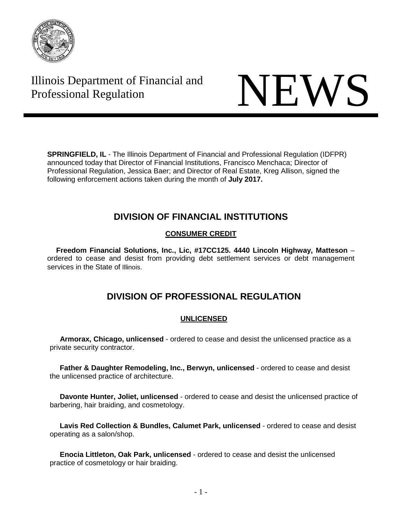

# Illinois Department of Financial and Illinois Department of Financial and<br>Professional Regulation



**SPRINGFIELD, IL** - The Illinois Department of Financial and Professional Regulation (IDFPR) announced today that Director of Financial Institutions, Francisco Menchaca; Director of Professional Regulation, Jessica Baer; and Director of Real Estate, Kreg Allison, signed the following enforcement actions taken during the month of **July 2017.**

# **DIVISION OF FINANCIAL INSTITUTIONS**

# **CONSUMER CREDIT**

**Freedom Financial Solutions, Inc., Lic, #17CC125. 4440 Lincoln Highway, Matteson** – ordered to cease and desist from providing debt settlement services or debt management services in the State of Illinois.

# **DIVISION OF PROFESSIONAL REGULATION**

# **UNLICENSED**

 **Armorax, Chicago, unlicensed** - ordered to cease and desist the unlicensed practice as a private security contractor.

 **Father & Daughter Remodeling, Inc., Berwyn, unlicensed** - ordered to cease and desist the unlicensed practice of architecture.

 **Davonte Hunter, Joliet, unlicensed** - ordered to cease and desist the unlicensed practice of barbering, hair braiding, and cosmetology.

 **Lavis Red Collection & Bundles, Calumet Park, unlicensed** - ordered to cease and desist operating as a salon/shop.

 **Enocia Littleton, Oak Park, unlicensed** - ordered to cease and desist the unlicensed practice of cosmetology or hair braiding.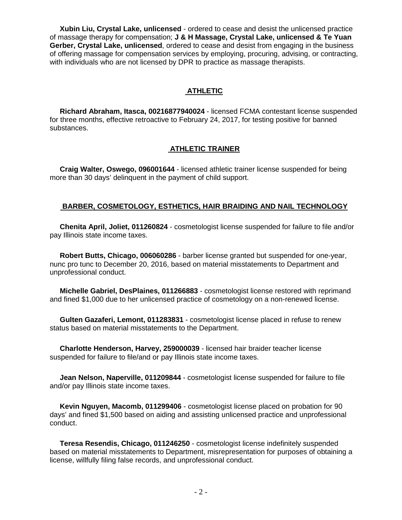**Xubin Liu, Crystal Lake, unlicensed** - ordered to cease and desist the unlicensed practice of massage therapy for compensation; **J & H Massage, Crystal Lake, unlicensed & Te Yuan Gerber, Crystal Lake, unlicensed**, ordered to cease and desist from engaging in the business of offering massage for compensation services by employing, procuring, advising, or contracting, with individuals who are not licensed by DPR to practice as massage therapists.

# **ATHLETIC**

 **Richard Abraham, Itasca, 00216877940024** - licensed FCMA contestant license suspended for three months, effective retroactive to February 24, 2017, for testing positive for banned substances.

# **ATHLETIC TRAINER**

 **Craig Walter, Oswego, 096001644** - licensed athletic trainer license suspended for being more than 30 days' delinquent in the payment of child support.

# **BARBER, COSMETOLOGY, ESTHETICS, HAIR BRAIDING AND NAIL TECHNOLOGY**

 **Chenita April, Joliet, 011260824** - cosmetologist license suspended for failure to file and/or pay Illinois state income taxes.

 **Robert Butts, Chicago, 006060286** - barber license granted but suspended for one-year, nunc pro tunc to December 20, 2016, based on material misstatements to Department and unprofessional conduct.

 **Michelle Gabriel, DesPlaines, 011266883** - cosmetologist license restored with reprimand and fined \$1,000 due to her unlicensed practice of cosmetology on a non-renewed license.

 **Gulten Gazaferi, Lemont, 011283831** - cosmetologist license placed in refuse to renew status based on material misstatements to the Department.

 **Charlotte Henderson, Harvey, 259000039** - licensed hair braider teacher license suspended for failure to file/and or pay Illinois state income taxes.

 **Jean Nelson, Naperville, 011209844** - cosmetologist license suspended for failure to file and/or pay Illinois state income taxes.

 **Kevin Nguyen, Macomb, 011299406** - cosmetologist license placed on probation for 90 days' and fined \$1,500 based on aiding and assisting unlicensed practice and unprofessional conduct.

 **Teresa Resendis, Chicago, 011246250** - cosmetologist license indefinitely suspended based on material misstatements to Department, misrepresentation for purposes of obtaining a license, willfully filing false records, and unprofessional conduct.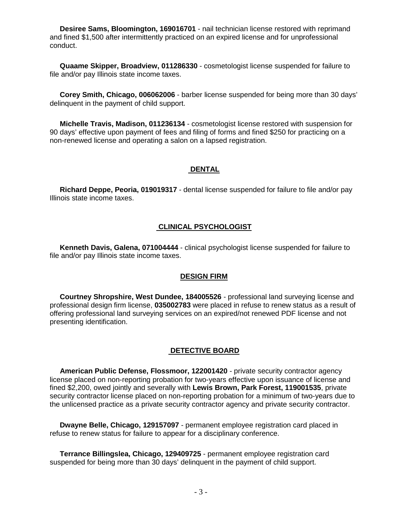**Desiree Sams, Bloomington, 169016701** - nail technician license restored with reprimand and fined \$1,500 after intermittently practiced on an expired license and for unprofessional conduct.

 **Quaame Skipper, Broadview, 011286330** - cosmetologist license suspended for failure to file and/or pay Illinois state income taxes.

 **Corey Smith, Chicago, 006062006** - barber license suspended for being more than 30 days' delinquent in the payment of child support.

 **Michelle Travis, Madison, 011236134** - cosmetologist license restored with suspension for 90 days' effective upon payment of fees and filing of forms and fined \$250 for practicing on a non-renewed license and operating a salon on a lapsed registration.

### **DENTAL**

 **Richard Deppe, Peoria, 019019317** - dental license suspended for failure to file and/or pay Illinois state income taxes.

# **CLINICAL PSYCHOLOGIST**

 **Kenneth Davis, Galena, 071004444** - clinical psychologist license suspended for failure to file and/or pay Illinois state income taxes.

## **DESIGN FIRM**

 **Courtney Shropshire, West Dundee, 184005526** - professional land surveying license and professional design firm license, **035002783** were placed in refuse to renew status as a result of offering professional land surveying services on an expired/not renewed PDF license and not presenting identification.

### **DETECTIVE BOARD**

 **American Public Defense, Flossmoor, 122001420** - private security contractor agency license placed on non-reporting probation for two-years effective upon issuance of license and fined \$2,200, owed jointly and severally with **Lewis Brown, Park Forest, 119001535**, private security contractor license placed on non-reporting probation for a minimum of two-years due to the unlicensed practice as a private security contractor agency and private security contractor.

 **Dwayne Belle, Chicago, 129157097** - permanent employee registration card placed in refuse to renew status for failure to appear for a disciplinary conference.

 **Terrance Billingslea, Chicago, 129409725** - permanent employee registration card suspended for being more than 30 days' delinquent in the payment of child support.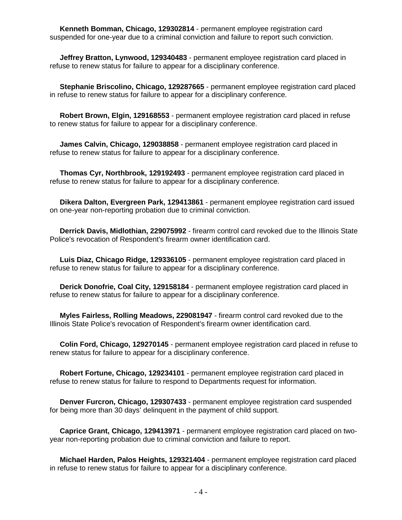**Kenneth Bomman, Chicago, 129302814** - permanent employee registration card suspended for one-year due to a criminal conviction and failure to report such conviction.

 **Jeffrey Bratton, Lynwood, 129340483** - permanent employee registration card placed in refuse to renew status for failure to appear for a disciplinary conference.

 **Stephanie Briscolino, Chicago, 129287665** - permanent employee registration card placed in refuse to renew status for failure to appear for a disciplinary conference.

 **Robert Brown, Elgin, 129168553** - permanent employee registration card placed in refuse to renew status for failure to appear for a disciplinary conference.

 **James Calvin, Chicago, 129038858** - permanent employee registration card placed in refuse to renew status for failure to appear for a disciplinary conference.

 **Thomas Cyr, Northbrook, 129192493** - permanent employee registration card placed in refuse to renew status for failure to appear for a disciplinary conference.

 **Dikera Dalton, Evergreen Park, 129413861** - permanent employee registration card issued on one-year non-reporting probation due to criminal conviction.

 **Derrick Davis, Midlothian, 229075992** - firearm control card revoked due to the Illinois State Police's revocation of Respondent's firearm owner identification card.

 **Luis Diaz, Chicago Ridge, 129336105** - permanent employee registration card placed in refuse to renew status for failure to appear for a disciplinary conference.

 **Derick Donofrie, Coal City, 129158184** - permanent employee registration card placed in refuse to renew status for failure to appear for a disciplinary conference.

 **Myles Fairless, Rolling Meadows, 229081947** - firearm control card revoked due to the Illinois State Police's revocation of Respondent's firearm owner identification card.

 **Colin Ford, Chicago, 129270145** - permanent employee registration card placed in refuse to renew status for failure to appear for a disciplinary conference.

 **Robert Fortune, Chicago, 129234101** - permanent employee registration card placed in refuse to renew status for failure to respond to Departments request for information.

**Denver Furcron, Chicago, 129307433 - permanent employee registration card suspended** for being more than 30 days' delinquent in the payment of child support.

 **Caprice Grant, Chicago, 129413971** - permanent employee registration card placed on twoyear non-reporting probation due to criminal conviction and failure to report.

 **Michael Harden, Palos Heights, 129321404** - permanent employee registration card placed in refuse to renew status for failure to appear for a disciplinary conference.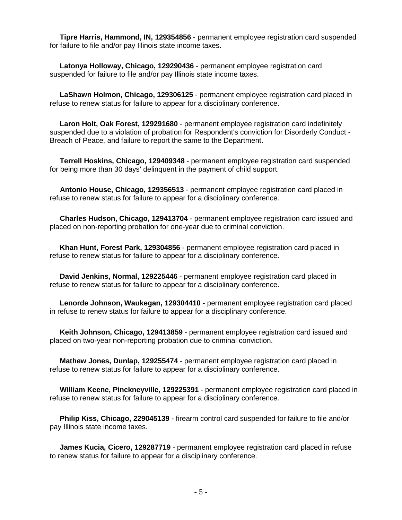**Tipre Harris, Hammond, IN, 129354856** - permanent employee registration card suspended for failure to file and/or pay Illinois state income taxes.

 **Latonya Holloway, Chicago, 129290436** - permanent employee registration card suspended for failure to file and/or pay Illinois state income taxes.

 **LaShawn Holmon, Chicago, 129306125** - permanent employee registration card placed in refuse to renew status for failure to appear for a disciplinary conference.

 **Laron Holt, Oak Forest, 129291680** - permanent employee registration card indefinitely suspended due to a violation of probation for Respondent's conviction for Disorderly Conduct - Breach of Peace, and failure to report the same to the Department.

 **Terrell Hoskins, Chicago, 129409348** - permanent employee registration card suspended for being more than 30 days' delinquent in the payment of child support.

 **Antonio House, Chicago, 129356513** - permanent employee registration card placed in refuse to renew status for failure to appear for a disciplinary conference.

 **Charles Hudson, Chicago, 129413704** - permanent employee registration card issued and placed on non-reporting probation for one-year due to criminal conviction.

 **Khan Hunt, Forest Park, 129304856** - permanent employee registration card placed in refuse to renew status for failure to appear for a disciplinary conference.

 **David Jenkins, Normal, 129225446** - permanent employee registration card placed in refuse to renew status for failure to appear for a disciplinary conference.

 **Lenorde Johnson, Waukegan, 129304410** - permanent employee registration card placed in refuse to renew status for failure to appear for a disciplinary conference.

 **Keith Johnson, Chicago, 129413859** - permanent employee registration card issued and placed on two-year non-reporting probation due to criminal conviction.

 **Mathew Jones, Dunlap, 129255474** - permanent employee registration card placed in refuse to renew status for failure to appear for a disciplinary conference.

 **William Keene, Pinckneyville, 129225391** - permanent employee registration card placed in refuse to renew status for failure to appear for a disciplinary conference.

 **Philip Kiss, Chicago, 229045139** - firearm control card suspended for failure to file and/or pay Illinois state income taxes.

 **James Kucia, Cicero, 129287719** - permanent employee registration card placed in refuse to renew status for failure to appear for a disciplinary conference.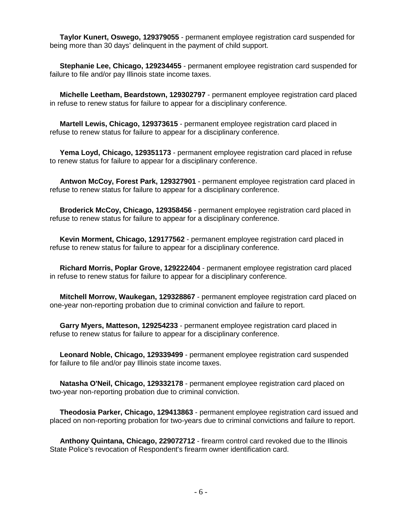**Taylor Kunert, Oswego, 129379055** - permanent employee registration card suspended for being more than 30 days' delinquent in the payment of child support.

 **Stephanie Lee, Chicago, 129234455** - permanent employee registration card suspended for failure to file and/or pay Illinois state income taxes.

 **Michelle Leetham, Beardstown, 129302797** - permanent employee registration card placed in refuse to renew status for failure to appear for a disciplinary conference.

 **Martell Lewis, Chicago, 129373615** - permanent employee registration card placed in refuse to renew status for failure to appear for a disciplinary conference.

 **Yema Loyd, Chicago, 129351173** - permanent employee registration card placed in refuse to renew status for failure to appear for a disciplinary conference.

 **Antwon McCoy, Forest Park, 129327901** - permanent employee registration card placed in refuse to renew status for failure to appear for a disciplinary conference.

 **Broderick McCoy, Chicago, 129358456** - permanent employee registration card placed in refuse to renew status for failure to appear for a disciplinary conference.

 **Kevin Morment, Chicago, 129177562** - permanent employee registration card placed in refuse to renew status for failure to appear for a disciplinary conference.

 **Richard Morris, Poplar Grove, 129222404** - permanent employee registration card placed in refuse to renew status for failure to appear for a disciplinary conference.

 **Mitchell Morrow, Waukegan, 129328867** - permanent employee registration card placed on one-year non-reporting probation due to criminal conviction and failure to report.

 **Garry Myers, Matteson, 129254233** - permanent employee registration card placed in refuse to renew status for failure to appear for a disciplinary conference.

 **Leonard Noble, Chicago, 129339499** - permanent employee registration card suspended for failure to file and/or pay Illinois state income taxes.

 **Natasha O'Neil, Chicago, 129332178** - permanent employee registration card placed on two-year non-reporting probation due to criminal conviction.

 **Theodosia Parker, Chicago, 129413863** - permanent employee registration card issued and placed on non-reporting probation for two-years due to criminal convictions and failure to report.

 **Anthony Quintana, Chicago, 229072712** - firearm control card revoked due to the Illinois State Police's revocation of Respondent's firearm owner identification card.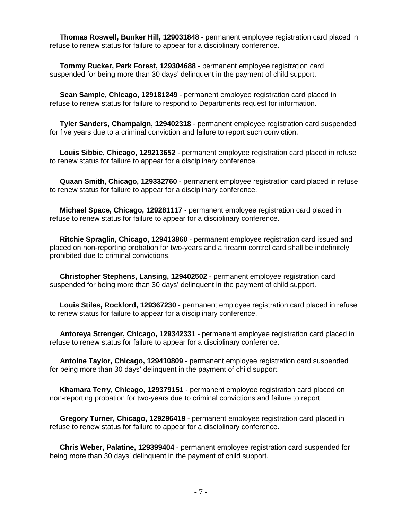**Thomas Roswell, Bunker Hill, 129031848** - permanent employee registration card placed in refuse to renew status for failure to appear for a disciplinary conference.

 **Tommy Rucker, Park Forest, 129304688** - permanent employee registration card suspended for being more than 30 days' delinquent in the payment of child support.

 **Sean Sample, Chicago, 129181249** - permanent employee registration card placed in refuse to renew status for failure to respond to Departments request for information.

 **Tyler Sanders, Champaign, 129402318** - permanent employee registration card suspended for five years due to a criminal conviction and failure to report such conviction.

 **Louis Sibbie, Chicago, 129213652** - permanent employee registration card placed in refuse to renew status for failure to appear for a disciplinary conference.

 **Quaan Smith, Chicago, 129332760** - permanent employee registration card placed in refuse to renew status for failure to appear for a disciplinary conference.

 **Michael Space, Chicago, 129281117** - permanent employee registration card placed in refuse to renew status for failure to appear for a disciplinary conference.

 **Ritchie Spraglin, Chicago, 129413860** - permanent employee registration card issued and placed on non-reporting probation for two-years and a firearm control card shall be indefinitely prohibited due to criminal convictions.

 **Christopher Stephens, Lansing, 129402502** - permanent employee registration card suspended for being more than 30 days' delinquent in the payment of child support.

 **Louis Stiles, Rockford, 129367230** - permanent employee registration card placed in refuse to renew status for failure to appear for a disciplinary conference.

 **Antoreya Strenger, Chicago, 129342331** - permanent employee registration card placed in refuse to renew status for failure to appear for a disciplinary conference.

 **Antoine Taylor, Chicago, 129410809** - permanent employee registration card suspended for being more than 30 days' delinquent in the payment of child support.

 **Khamara Terry, Chicago, 129379151** - permanent employee registration card placed on non-reporting probation for two-years due to criminal convictions and failure to report.

 **Gregory Turner, Chicago, 129296419** - permanent employee registration card placed in refuse to renew status for failure to appear for a disciplinary conference.

 **Chris Weber, Palatine, 129399404** - permanent employee registration card suspended for being more than 30 days' delinquent in the payment of child support.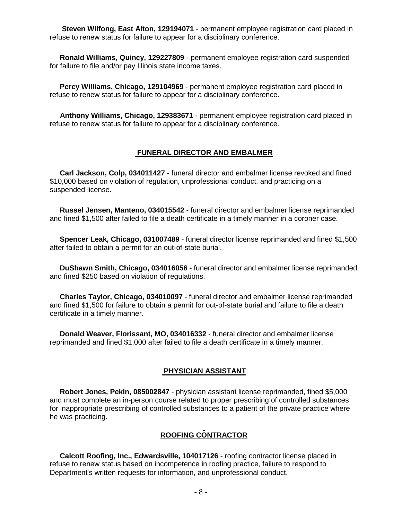**Steven Wilfong, East Alton, 129194071** - permanent employee registration card placed in refuse to renew status for failure to appear for a disciplinary conference.

 **Ronald Williams, Quincy, 129227809** - permanent employee registration card suspended for failure to file and/or pay Illinois state income taxes.

 **Percy Williams, Chicago, 129104969** - permanent employee registration card placed in refuse to renew status for failure to appear for a disciplinary conference.

 **Anthony Williams, Chicago, 129383671** - permanent employee registration card placed in refuse to renew status for failure to appear for a disciplinary conference.

#### **FUNERAL DIRECTOR AND EMBALMER**

 **Carl Jackson, Colp, 034011427** - funeral director and embalmer license revoked and fined \$10,000 based on violation of regulation, unprofessional conduct, and practicing on a suspended license.

 **Russel Jensen, Manteno, 034015542** - funeral director and embalmer license reprimanded and fined \$1,500 after failed to file a death certificate in a timely manner in a coroner case.

 **Spencer Leak, Chicago, 031007489** - funeral director license reprimanded and fined \$1,500 after failed to obtain a permit for an out-of-state burial.

 **DuShawn Smith, Chicago, 034016056** - funeral director and embalmer license reprimanded and fined \$250 based on violation of regulations.

 **Charles Taylor, Chicago, 034010097** - funeral director and embalmer license reprimanded and fined \$1,500 for failure to obtain a permit for out-of-state burial and failure to file a death certificate in a timely manner.

 **Donald Weaver, Florissant, MO, 034016332** - funeral director and embalmer license reprimanded and fined \$1,000 after failed to file a death certificate in a timely manner.

### **PHYSICIAN ASSISTANT**

 **Robert Jones, Pekin, 085002847** - physician assistant license reprimanded, fined \$5,000 and must complete an in-person course related to proper prescribing of controlled substances for inappropriate prescribing of controlled substances to a patient of the private practice where he was practicing.

# **ROOFING CONTRACTOR**

 **Calcott Roofing, Inc., Edwardsville, 104017126** - roofing contractor license placed in refuse to renew status based on incompetence in roofing practice, failure to respond to Department's written requests for information, and unprofessional conduct.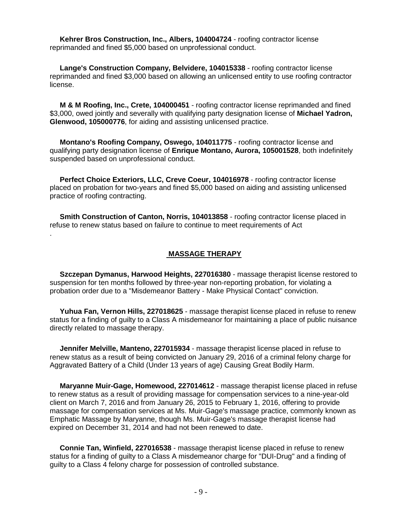**Kehrer Bros Construction, Inc., Albers, 104004724** - roofing contractor license reprimanded and fined \$5,000 based on unprofessional conduct.

 **Lange's Construction Company, Belvidere, 104015338** - roofing contractor license reprimanded and fined \$3,000 based on allowing an unlicensed entity to use roofing contractor license.

 **M & M Roofing, Inc., Crete, 104000451** - roofing contractor license reprimanded and fined \$3,000, owed jointly and severally with qualifying party designation license of **Michael Yadron, Glenwood, 105000776**, for aiding and assisting unlicensed practice.

 **Montano's Roofing Company, Oswego, 104011775** - roofing contractor license and qualifying party designation license of **Enrique Montano, Aurora, 105001528**, both indefinitely suspended based on unprofessional conduct.

 **Perfect Choice Exteriors, LLC, Creve Coeur, 104016978** - roofing contractor license placed on probation for two-years and fined \$5,000 based on aiding and assisting unlicensed practice of roofing contracting.

 **Smith Construction of Canton, Norris, 104013858** - roofing contractor license placed in refuse to renew status based on failure to continue to meet requirements of Act

.

# **MASSAGE THERAPY**

 **Szczepan Dymanus, Harwood Heights, 227016380** - massage therapist license restored to suspension for ten months followed by three-year non-reporting probation, for violating a probation order due to a "Misdemeanor Battery - Make Physical Contact" conviction.

 **Yuhua Fan, Vernon Hills, 227018625** - massage therapist license placed in refuse to renew status for a finding of guilty to a Class A misdemeanor for maintaining a place of public nuisance directly related to massage therapy.

 **Jennifer Melville, Manteno, 227015934** - massage therapist license placed in refuse to renew status as a result of being convicted on January 29, 2016 of a criminal felony charge for Aggravated Battery of a Child (Under 13 years of age) Causing Great Bodily Harm.

 **Maryanne Muir-Gage, Homewood, 227014612** - massage therapist license placed in refuse to renew status as a result of providing massage for compensation services to a nine-year-old client on March 7, 2016 and from January 26, 2015 to February 1, 2016, offering to provide massage for compensation services at Ms. Muir-Gage's massage practice, commonly known as Emphatic Massage by Maryanne, though Ms. Muir-Gage's massage therapist license had expired on December 31, 2014 and had not been renewed to date.

 **Connie Tan, Winfield, 227016538** - massage therapist license placed in refuse to renew status for a finding of guilty to a Class A misdemeanor charge for "DUI-Drug" and a finding of guilty to a Class 4 felony charge for possession of controlled substance.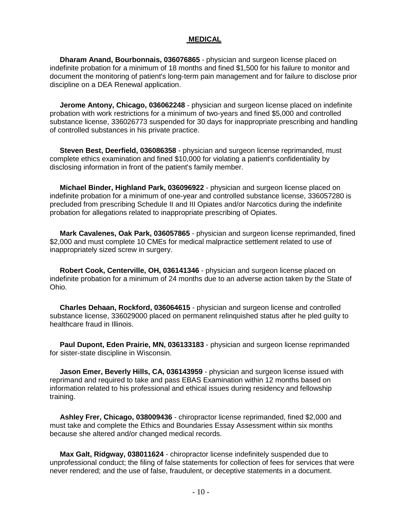### **MEDICAL**

 **Dharam Anand, Bourbonnais, 036076865** - physician and surgeon license placed on indefinite probation for a minimum of 18 months and fined \$1,500 for his failure to monitor and document the monitoring of patient's long-term pain management and for failure to disclose prior discipline on a DEA Renewal application.

 **Jerome Antony, Chicago, 036062248** - physician and surgeon license placed on indefinite probation with work restrictions for a minimum of two-years and fined \$5,000 and controlled substance license, 336026773 suspended for 30 days for inappropriate prescribing and handling of controlled substances in his private practice.

 **Steven Best, Deerfield, 036086358** - physician and surgeon license reprimanded, must complete ethics examination and fined \$10,000 for violating a patient's confidentiality by disclosing information in front of the patient's family member.

 **Michael Binder, Highland Park, 036096922** - physician and surgeon license placed on indefinite probation for a minimum of one-year and controlled substance license, 336057280 is precluded from prescribing Schedule II and III Opiates and/or Narcotics during the indefinite probation for allegations related to inappropriate prescribing of Opiates.

 **Mark Cavalenes, Oak Park, 036057865** - physician and surgeon license reprimanded, fined \$2,000 and must complete 10 CMEs for medical malpractice settlement related to use of inappropriately sized screw in surgery.

 **Robert Cook, Centerville, OH, 036141346** - physician and surgeon license placed on indefinite probation for a minimum of 24 months due to an adverse action taken by the State of Ohio.

 **Charles Dehaan, Rockford, 036064615** - physician and surgeon license and controlled substance license, 336029000 placed on permanent relinquished status after he pled guilty to healthcare fraud in Illinois.

 **Paul Dupont, Eden Prairie, MN, 036133183** - physician and surgeon license reprimanded for sister-state discipline in Wisconsin.

 **Jason Emer, Beverly Hills, CA, 036143959** - physician and surgeon license issued with reprimand and required to take and pass EBAS Examination within 12 months based on information related to his professional and ethical issues during residency and fellowship training.

 **Ashley Frer, Chicago, 038009436** - chiropractor license reprimanded, fined \$2,000 and must take and complete the Ethics and Boundaries Essay Assessment within six months because she altered and/or changed medical records.

 **Max Galt, Ridgway, 038011624** - chiropractor license indefinitely suspended due to unprofessional conduct; the filing of false statements for collection of fees for services that were never rendered; and the use of false, fraudulent, or deceptive statements in a document.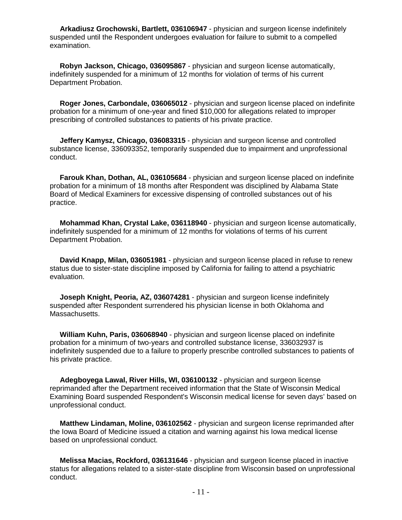**Arkadiusz Grochowski, Bartlett, 036106947** - physician and surgeon license indefinitely suspended until the Respondent undergoes evaluation for failure to submit to a compelled examination.

 **Robyn Jackson, Chicago, 036095867** - physician and surgeon license automatically, indefinitely suspended for a minimum of 12 months for violation of terms of his current Department Probation.

 **Roger Jones, Carbondale, 036065012** - physician and surgeon license placed on indefinite probation for a minimum of one-year and fined \$10,000 for allegations related to improper prescribing of controlled substances to patients of his private practice.

 **Jeffery Kamysz, Chicago, 036083315** - physician and surgeon license and controlled substance license, 336093352, temporarily suspended due to impairment and unprofessional conduct.

 **Farouk Khan, Dothan, AL, 036105684** - physician and surgeon license placed on indefinite probation for a minimum of 18 months after Respondent was disciplined by Alabama State Board of Medical Examiners for excessive dispensing of controlled substances out of his practice.

 **Mohammad Khan, Crystal Lake, 036118940** - physician and surgeon license automatically, indefinitely suspended for a minimum of 12 months for violations of terms of his current Department Probation.

 **David Knapp, Milan, 036051981** - physician and surgeon license placed in refuse to renew status due to sister-state discipline imposed by California for failing to attend a psychiatric evaluation.

 **Joseph Knight, Peoria, AZ, 036074281** - physician and surgeon license indefinitely suspended after Respondent surrendered his physician license in both Oklahoma and Massachusetts.

 **William Kuhn, Paris, 036068940** - physician and surgeon license placed on indefinite probation for a minimum of two-years and controlled substance license, 336032937 is indefinitely suspended due to a failure to properly prescribe controlled substances to patients of his private practice.

 **Adegboyega Lawal, River Hills, WI, 036100132** - physician and surgeon license reprimanded after the Department received information that the State of Wisconsin Medical Examining Board suspended Respondent's Wisconsin medical license for seven days' based on unprofessional conduct.

 **Matthew Lindaman, Moline, 036102562** - physician and surgeon license reprimanded after the Iowa Board of Medicine issued a citation and warning against his Iowa medical license based on unprofessional conduct.

 **Melissa Macias, Rockford, 036131646** - physician and surgeon license placed in inactive status for allegations related to a sister-state discipline from Wisconsin based on unprofessional conduct.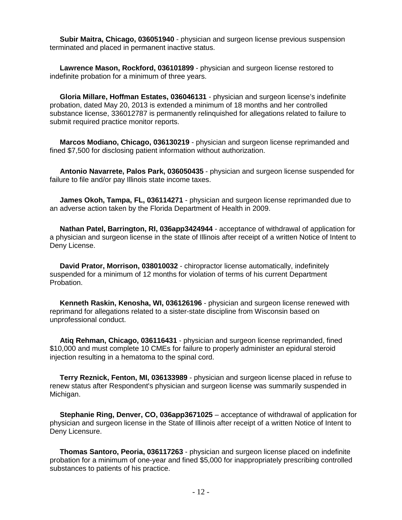**Subir Maitra, Chicago, 036051940** - physician and surgeon license previous suspension terminated and placed in permanent inactive status.

 **Lawrence Mason, Rockford, 036101899** - physician and surgeon license restored to indefinite probation for a minimum of three years.

 **Gloria Millare, Hoffman Estates, 036046131** - physician and surgeon license's indefinite probation, dated May 20, 2013 is extended a minimum of 18 months and her controlled substance license, 336012787 is permanently relinquished for allegations related to failure to submit required practice monitor reports.

 **Marcos Modiano, Chicago, 036130219** - physician and surgeon license reprimanded and fined \$7,500 for disclosing patient information without authorization.

 **Antonio Navarrete, Palos Park, 036050435** - physician and surgeon license suspended for failure to file and/or pay Illinois state income taxes.

 **James Okoh, Tampa, FL, 036114271** - physician and surgeon license reprimanded due to an adverse action taken by the Florida Department of Health in 2009.

 **Nathan Patel, Barrington, RI, 036app3424944** - acceptance of withdrawal of application for a physician and surgeon license in the state of Illinois after receipt of a written Notice of Intent to Deny License.

 **David Prator, Morrison, 038010032** - chiropractor license automatically, indefinitely suspended for a minimum of 12 months for violation of terms of his current Department Probation.

 **Kenneth Raskin, Kenosha, WI, 036126196** - physician and surgeon license renewed with reprimand for allegations related to a sister-state discipline from Wisconsin based on unprofessional conduct.

 **Atiq Rehman, Chicago, 036116431** - physician and surgeon license reprimanded, fined \$10,000 and must complete 10 CMEs for failure to properly administer an epidural steroid injection resulting in a hematoma to the spinal cord.

 **Terry Reznick, Fenton, MI, 036133989** - physician and surgeon license placed in refuse to renew status after Respondent's physician and surgeon license was summarily suspended in Michigan.

 **Stephanie Ring, Denver, CO, 036app3671025** – acceptance of withdrawal of application for physician and surgeon license in the State of Illinois after receipt of a written Notice of Intent to Deny Licensure.

 **Thomas Santoro, Peoria, 036117263** - physician and surgeon license placed on indefinite probation for a minimum of one-year and fined \$5,000 for inappropriately prescribing controlled substances to patients of his practice.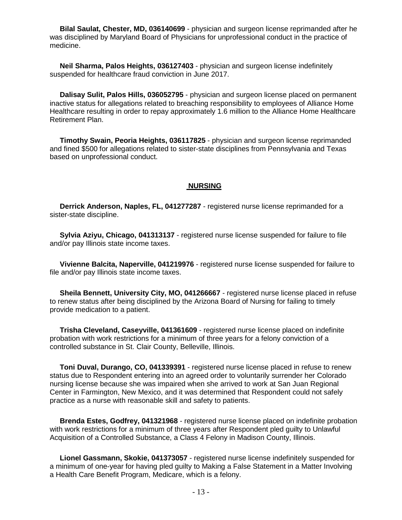**Bilal Saulat, Chester, MD, 036140699** - physician and surgeon license reprimanded after he was disciplined by Maryland Board of Physicians for unprofessional conduct in the practice of medicine.

 **Neil Sharma, Palos Heights, 036127403** - physician and surgeon license indefinitely suspended for healthcare fraud conviction in June 2017.

 **Dalisay Sulit, Palos Hills, 036052795** - physician and surgeon license placed on permanent inactive status for allegations related to breaching responsibility to employees of Alliance Home Healthcare resulting in order to repay approximately 1.6 million to the Alliance Home Healthcare Retirement Plan.

 **Timothy Swain, Peoria Heights, 036117825** - physician and surgeon license reprimanded and fined \$500 for allegations related to sister-state disciplines from Pennsylvania and Texas based on unprofessional conduct.

#### **NURSING**

 **Derrick Anderson, Naples, FL, 041277287** - registered nurse license reprimanded for a sister-state discipline.

 **Sylvia Aziyu, Chicago, 041313137** - registered nurse license suspended for failure to file and/or pay Illinois state income taxes.

 **Vivienne Balcita, Naperville, 041219976** - registered nurse license suspended for failure to file and/or pay Illinois state income taxes.

 **Sheila Bennett, University City, MO, 041266667** - registered nurse license placed in refuse to renew status after being disciplined by the Arizona Board of Nursing for failing to timely provide medication to a patient.

 **Trisha Cleveland, Caseyville, 041361609** - registered nurse license placed on indefinite probation with work restrictions for a minimum of three years for a felony conviction of a controlled substance in St. Clair County, Belleville, Illinois.

 **Toni Duval, Durango, CO, 041339391** - registered nurse license placed in refuse to renew status due to Respondent entering into an agreed order to voluntarily surrender her Colorado nursing license because she was impaired when she arrived to work at San Juan Regional Center in Farmington, New Mexico, and it was determined that Respondent could not safely practice as a nurse with reasonable skill and safety to patients.

 **Brenda Estes, Godfrey, 041321968** - registered nurse license placed on indefinite probation with work restrictions for a minimum of three years after Respondent pled guilty to Unlawful Acquisition of a Controlled Substance, a Class 4 Felony in Madison County, Illinois.

 **Lionel Gassmann, Skokie, 041373057** - registered nurse license indefinitely suspended for a minimum of one-year for having pled guilty to Making a False Statement in a Matter Involving a Health Care Benefit Program, Medicare, which is a felony.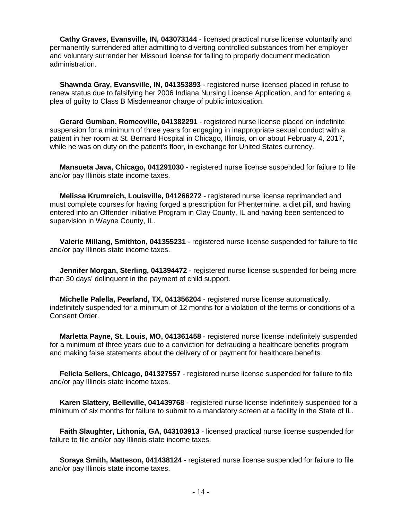**Cathy Graves, Evansville, IN, 043073144** - licensed practical nurse license voluntarily and permanently surrendered after admitting to diverting controlled substances from her employer and voluntary surrender her Missouri license for failing to properly document medication administration.

**Shawnda Gray, Evansville, IN, 041353893** - registered nurse licensed placed in refuse to renew status due to falsifying her 2006 Indiana Nursing License Application, and for entering a plea of guilty to Class B Misdemeanor charge of public intoxication.

 **Gerard Gumban, Romeoville, 041382291** - registered nurse license placed on indefinite suspension for a minimum of three years for engaging in inappropriate sexual conduct with a patient in her room at St. Bernard Hospital in Chicago, Illinois, on or about February 4, 2017, while he was on duty on the patient's floor, in exchange for United States currency.

 **Mansueta Java, Chicago, 041291030** - registered nurse license suspended for failure to file and/or pay Illinois state income taxes.

 **Melissa Krumreich, Louisville, 041266272** - registered nurse license reprimanded and must complete courses for having forged a prescription for Phentermine, a diet pill, and having entered into an Offender Initiative Program in Clay County, IL and having been sentenced to supervision in Wayne County, IL.

 **Valerie Millang, Smithton, 041355231** - registered nurse license suspended for failure to file and/or pay Illinois state income taxes.

**Jennifer Morgan, Sterling, 041394472** - registered nurse license suspended for being more than 30 days' delinquent in the payment of child support.

 **Michelle Palella, Pearland, TX, 041356204** - registered nurse license automatically, indefinitely suspended for a minimum of 12 months for a violation of the terms or conditions of a Consent Order.

 **Marletta Payne, St. Louis, MO, 041361458** - registered nurse license indefinitely suspended for a minimum of three years due to a conviction for defrauding a healthcare benefits program and making false statements about the delivery of or payment for healthcare benefits.

 **Felicia Sellers, Chicago, 041327557** - registered nurse license suspended for failure to file and/or pay Illinois state income taxes.

 **Karen Slattery, Belleville, 041439768** - registered nurse license indefinitely suspended for a minimum of six months for failure to submit to a mandatory screen at a facility in the State of IL.

 **Faith Slaughter, Lithonia, GA, 043103913** - licensed practical nurse license suspended for failure to file and/or pay Illinois state income taxes.

 **Soraya Smith, Matteson, 041438124** - registered nurse license suspended for failure to file and/or pay Illinois state income taxes.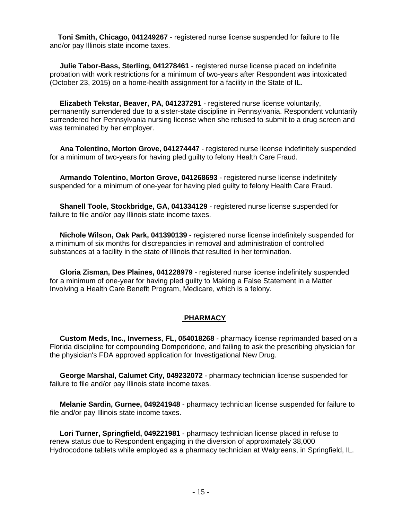**Toni Smith, Chicago, 041249267** - registered nurse license suspended for failure to file and/or pay Illinois state income taxes.

 **Julie Tabor-Bass, Sterling, 041278461** - registered nurse license placed on indefinite probation with work restrictions for a minimum of two-years after Respondent was intoxicated (October 23, 2015) on a home-health assignment for a facility in the State of IL.

 **Elizabeth Tekstar, Beaver, PA, 041237291** - registered nurse license voluntarily, permanently surrendered due to a sister-state discipline in Pennsylvania. Respondent voluntarily surrendered her Pennsylvania nursing license when she refused to submit to a drug screen and was terminated by her employer.

 **Ana Tolentino, Morton Grove, 041274447** - registered nurse license indefinitely suspended for a minimum of two-years for having pled guilty to felony Health Care Fraud.

 **Armando Tolentino, Morton Grove, 041268693** - registered nurse license indefinitely suspended for a minimum of one-year for having pled guilty to felony Health Care Fraud.

 **Shanell Toole, Stockbridge, GA, 041334129** - registered nurse license suspended for failure to file and/or pay Illinois state income taxes.

 **Nichole Wilson, Oak Park, 041390139** - registered nurse license indefinitely suspended for a minimum of six months for discrepancies in removal and administration of controlled substances at a facility in the state of Illinois that resulted in her termination.

 **Gloria Zisman, Des Plaines, 041228979** - registered nurse license indefinitely suspended for a minimum of one-year for having pled guilty to Making a False Statement in a Matter Involving a Health Care Benefit Program, Medicare, which is a felony.

# **PHARMACY**

 **Custom Meds, Inc., Inverness, FL, 054018268** - pharmacy license reprimanded based on a Florida discipline for compounding Domperidone, and failing to ask the prescribing physician for the physician's FDA approved application for Investigational New Drug.

 **George Marshal, Calumet City, 049232072** - pharmacy technician license suspended for failure to file and/or pay Illinois state income taxes.

 **Melanie Sardin, Gurnee, 049241948** - pharmacy technician license suspended for failure to file and/or pay Illinois state income taxes.

 **Lori Turner, Springfield, 049221981** - pharmacy technician license placed in refuse to renew status due to Respondent engaging in the diversion of approximately 38,000 Hydrocodone tablets while employed as a pharmacy technician at Walgreens, in Springfield, IL.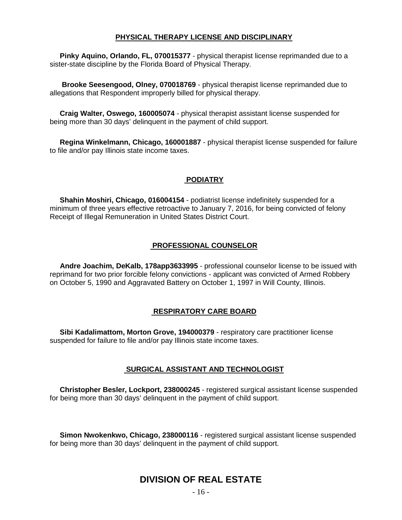# **PHYSICAL THERAPY LICENSE AND DISCIPLINARY**

 **Pinky Aquino, Orlando, FL, 070015377** - physical therapist license reprimanded due to a sister-state discipline by the Florida Board of Physical Therapy.

 **Brooke Seesengood, Olney, 070018769** - physical therapist license reprimanded due to allegations that Respondent improperly billed for physical therapy.

 **Craig Walter, Oswego, 160005074** - physical therapist assistant license suspended for being more than 30 days' delinquent in the payment of child support.

 **Regina Winkelmann, Chicago, 160001887** - physical therapist license suspended for failure to file and/or pay Illinois state income taxes.

### **PODIATRY**

 **Shahin Moshiri, Chicago, 016004154** - podiatrist license indefinitely suspended for a minimum of three years effective retroactive to January 7, 2016, for being convicted of felony Receipt of Illegal Remuneration in United States District Court.

# **PROFESSIONAL COUNSELOR**

 **Andre Joachim, DeKalb, 178app3633995** - professional counselor license to be issued with reprimand for two prior forcible felony convictions - applicant was convicted of Armed Robbery on October 5, 1990 and Aggravated Battery on October 1, 1997 in Will County, Illinois.

### **RESPIRATORY CARE BOARD**

 **Sibi Kadalimattom, Morton Grove, 194000379** - respiratory care practitioner license suspended for failure to file and/or pay Illinois state income taxes.

### **SURGICAL ASSISTANT AND TECHNOLOGIST**

 **Christopher Besler, Lockport, 238000245** - registered surgical assistant license suspended for being more than 30 days' delinquent in the payment of child support.

 **Simon Nwokenkwo, Chicago, 238000116** - registered surgical assistant license suspended for being more than 30 days' delinquent in the payment of child support.

# **DIVISION OF REAL ESTATE**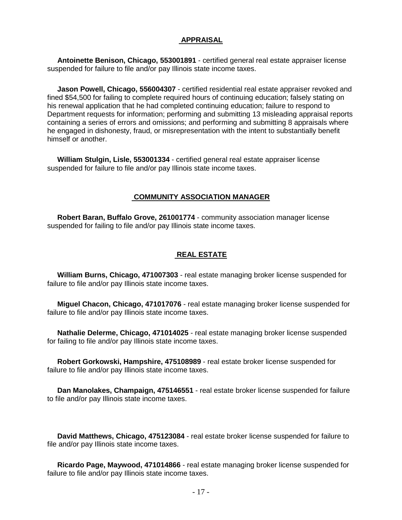# **APPRAISAL**

 **Antoinette Benison, Chicago, 553001891** - certified general real estate appraiser license suspended for failure to file and/or pay Illinois state income taxes.

 **Jason Powell, Chicago, 556004307** - certified residential real estate appraiser revoked and fined \$54,500 for failing to complete required hours of continuing education; falsely stating on his renewal application that he had completed continuing education; failure to respond to Department requests for information; performing and submitting 13 misleading appraisal reports containing a series of errors and omissions; and performing and submitting 8 appraisals where he engaged in dishonesty, fraud, or misrepresentation with the intent to substantially benefit himself or another.

 **William Stulgin, Lisle, 553001334** - certified general real estate appraiser license suspended for failure to file and/or pay Illinois state income taxes.

### **COMMUNITY ASSOCIATION MANAGER**

 **Robert Baran, Buffalo Grove, 261001774** - community association manager license suspended for failing to file and/or pay Illinois state income taxes.

### **REAL ESTATE**

 **William Burns, Chicago, 471007303** - real estate managing broker license suspended for failure to file and/or pay Illinois state income taxes.

 **Miguel Chacon, Chicago, 471017076** - real estate managing broker license suspended for failure to file and/or pay Illinois state income taxes.

 **Nathalie Delerme, Chicago, 471014025** - real estate managing broker license suspended for failing to file and/or pay Illinois state income taxes.

 **Robert Gorkowski, Hampshire, 475108989** - real estate broker license suspended for failure to file and/or pay Illinois state income taxes.

 **Dan Manolakes, Champaign, 475146551** - real estate broker license suspended for failure to file and/or pay Illinois state income taxes.

 **David Matthews, Chicago, 475123084** - real estate broker license suspended for failure to file and/or pay Illinois state income taxes.

 **Ricardo Page, Maywood, 471014866** - real estate managing broker license suspended for failure to file and/or pay Illinois state income taxes.